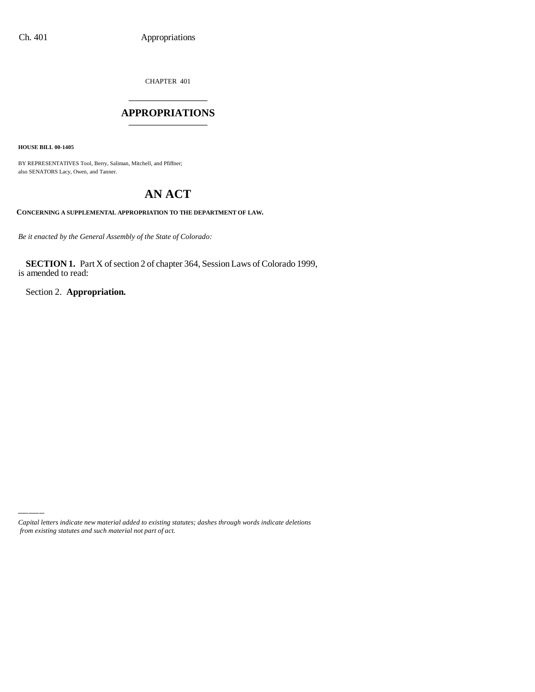CHAPTER 401 \_\_\_\_\_\_\_\_\_\_\_\_\_\_\_

### **APPROPRIATIONS** \_\_\_\_\_\_\_\_\_\_\_\_\_\_\_

**HOUSE BILL 00-1405**

BY REPRESENTATIVES Tool, Berry, Saliman, Mitchell, and Pfiffner; also SENATORS Lacy, Owen, and Tanner.

# **AN ACT**

**CONCERNING A SUPPLEMENTAL APPROPRIATION TO THE DEPARTMENT OF LAW.**

*Be it enacted by the General Assembly of the State of Colorado:*

**SECTION 1.** Part X of section 2 of chapter 364, Session Laws of Colorado 1999, is amended to read:

Section 2. **Appropriation.**

*Capital letters indicate new material added to existing statutes; dashes through words indicate deletions from existing statutes and such material not part of act.*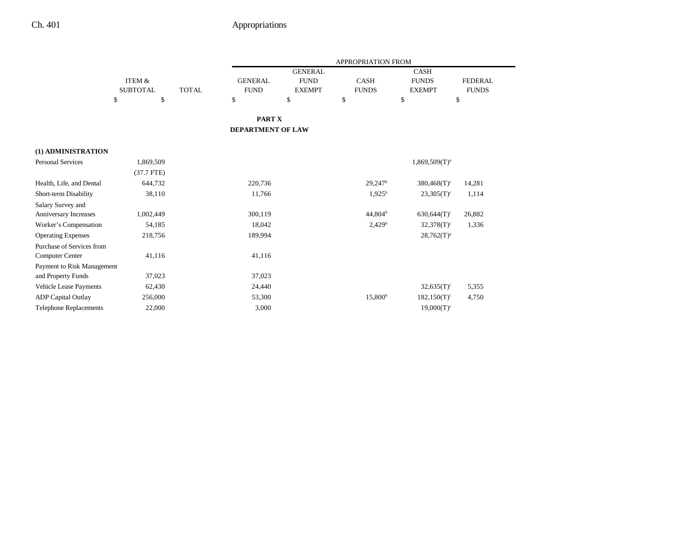|                               |                 |              | <b>APPROPRIATION FROM</b> |                |                     |                           |                |  |
|-------------------------------|-----------------|--------------|---------------------------|----------------|---------------------|---------------------------|----------------|--|
|                               |                 |              |                           | <b>GENERAL</b> |                     | <b>CASH</b>               |                |  |
|                               | ITEM &          |              | <b>GENERAL</b>            | <b>FUND</b>    | <b>CASH</b>         | <b>FUNDS</b>              | <b>FEDERAL</b> |  |
|                               | <b>SUBTOTAL</b> | <b>TOTAL</b> | <b>FUND</b>               | <b>EXEMPT</b>  | <b>FUNDS</b>        | <b>EXEMPT</b>             | <b>FUNDS</b>   |  |
|                               | \$<br>\$        |              | \$                        | \$             | \$                  | $\mathbb{S}$              | \$             |  |
|                               |                 |              | <b>PART X</b>             |                |                     |                           |                |  |
|                               |                 |              | <b>DEPARTMENT OF LAW</b>  |                |                     |                           |                |  |
|                               |                 |              |                           |                |                     |                           |                |  |
| (1) ADMINISTRATION            |                 |              |                           |                |                     |                           |                |  |
| Personal Services             | 1,869,509       |              |                           |                |                     | $1,869,509(T)^a$          |                |  |
|                               | $(37.7$ FTE)    |              |                           |                |                     |                           |                |  |
| Health, Life, and Dental      | 644,732         |              | 220,736                   |                | $29,247^{\rm b}$    | $380,468(T)^c$            | 14,281         |  |
| Short-term Disability         | 38,110          |              | 11,766                    |                | $1,925^{\rm b}$     | $23,305(T)^c$             | 1,114          |  |
| Salary Survey and             |                 |              |                           |                |                     |                           |                |  |
| <b>Anniversary Increases</b>  | 1,002,449       |              | 300,119                   |                | 44,804 <sup>b</sup> | $630,644(T)$ <sup>c</sup> | 26,882         |  |
| Worker's Compensation         | 54,185          |              | 18,042                    |                | 2,429 <sup>b</sup>  | $32,378(T)$ <sup>c</sup>  | 1,336          |  |
| <b>Operating Expenses</b>     | 218,756         |              | 189,994                   |                |                     | $28,762(T)^a$             |                |  |
| Purchase of Services from     |                 |              |                           |                |                     |                           |                |  |
| Computer Center               | 41,116          |              | 41,116                    |                |                     |                           |                |  |
| Payment to Risk Management    |                 |              |                           |                |                     |                           |                |  |
| and Property Funds            | 37,023          |              | 37,023                    |                |                     |                           |                |  |
| Vehicle Lease Payments        | 62,430          |              | 24,440                    |                |                     | $32,635(T)^c$             | 5,355          |  |
| <b>ADP Capital Outlay</b>     | 256,000         |              | 53,300                    |                | 15,800 <sup>b</sup> | $182,150(T)^c$            | 4,750          |  |
| <b>Telephone Replacements</b> | 22,000          |              | 3,000                     |                |                     | $19,000(T)^c$             |                |  |
|                               |                 |              |                           |                |                     |                           |                |  |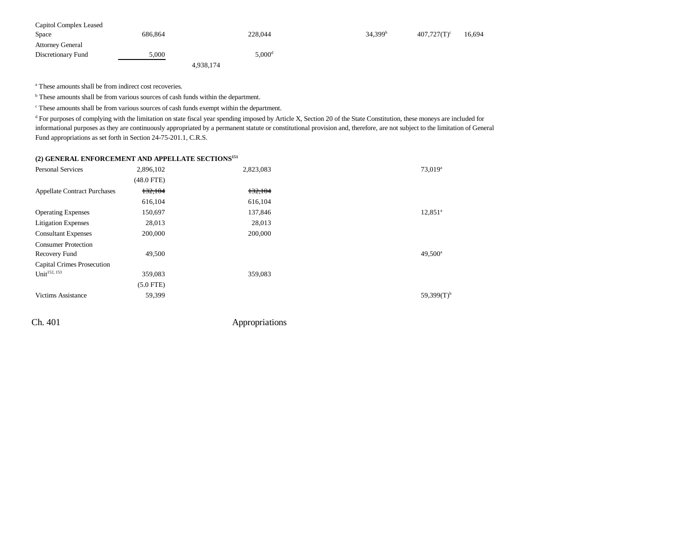| Capitol Complex Leased  |         |                  |                     |                |        |
|-------------------------|---------|------------------|---------------------|----------------|--------|
| Space                   | 686.864 | 228,044          | 34,399 <sup>b</sup> | $407,727(T)^c$ | 16,694 |
| <b>Attorney General</b> |         |                  |                     |                |        |
| Discretionary Fund      | 5,000   | $5.000 ^{\rm d}$ |                     |                |        |
|                         |         | 4,938,174        |                     |                |        |

<sup>a</sup> These amounts shall be from indirect cost recoveries.

b These amounts shall be from various sources of cash funds within the department.

c These amounts shall be from various sources of cash funds exempt within the department.

<sup>d</sup> For purposes of complying with the limitation on state fiscal year spending imposed by Article X, Section 20 of the State Constitution, these moneys are included for informational purposes as they are continuously appropriated by a permanent statute or constitutional provision and, therefore, are not subject to the limitation of General Fund appropriations as set forth in Section 24-75-201.1, C.R.S.

#### **(2) GENERAL ENFORCEMENT AND APPELLATE SECTIONS151**

| <b>Personal Services</b>            | 2,896,102    | 2,823,083 | 73,019 <sup>a</sup> |
|-------------------------------------|--------------|-----------|---------------------|
|                                     | $(48.0$ FTE) |           |                     |
| <b>Appellate Contract Purchases</b> | 132,104      | 132,104   |                     |
|                                     | 616,104      | 616,104   |                     |
| <b>Operating Expenses</b>           | 150,697      | 137,846   | $12,851^a$          |
| <b>Litigation Expenses</b>          | 28,013       | 28,013    |                     |
| <b>Consultant Expenses</b>          | 200,000      | 200,000   |                     |
| <b>Consumer Protection</b>          |              |           |                     |
| Recovery Fund                       | 49,500       |           | 49,500 <sup>a</sup> |
| <b>Capital Crimes Prosecution</b>   |              |           |                     |
| Unit $152, 153$                     | 359,083      | 359,083   |                     |
|                                     | $(5.0$ FTE)  |           |                     |
| <b>Victims Assistance</b>           | 59,399       |           | $59.399(T)^{b}$     |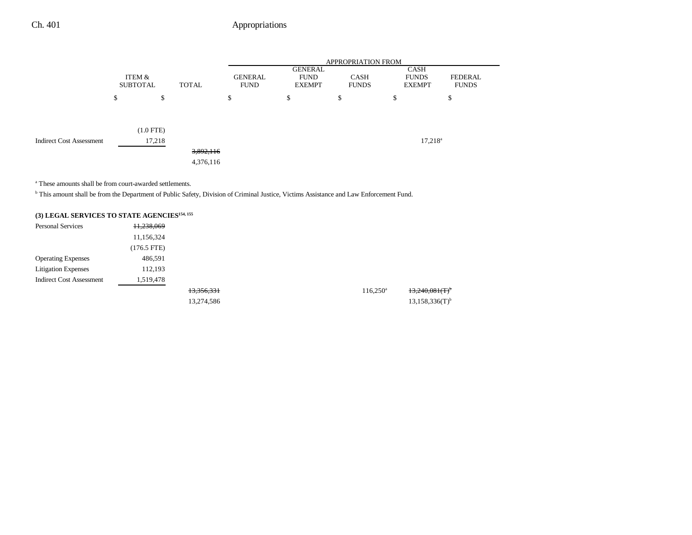|                                 |                           |             |           | APPROPRIATION FROM            |                                         |        |                                       |                         |  |
|---------------------------------|---------------------------|-------------|-----------|-------------------------------|-----------------------------------------|--------|---------------------------------------|-------------------------|--|
|                                 | ITEM &<br><b>SUBTOTAL</b> |             | TOTAL     | <b>GENERAL</b><br><b>FUND</b> | GENERAL<br><b>FUND</b><br><b>EXEMPT</b> |        | CASH<br><b>FUNDS</b><br><b>EXEMPT</b> | FEDERAL<br><b>FUNDS</b> |  |
|                                 | \$                        | \$          |           | \$                            | \$                                      | ¢<br>D | \$                                    | \$                      |  |
|                                 |                           | $(1.0$ FTE) |           |                               |                                         |        |                                       |                         |  |
| <b>Indirect Cost Assessment</b> |                           | 17,218      |           |                               |                                         |        |                                       | $17,218^a$              |  |
|                                 |                           |             | 3,892,116 |                               |                                         |        |                                       |                         |  |
|                                 |                           |             | 4,376,116 |                               |                                         |        |                                       |                         |  |

a These amounts shall be from court-awarded settlements.

<sup>b</sup> This amount shall be from the Department of Public Safety, Division of Criminal Justice, Victims Assistance and Law Enforcement Fund.

## **(3) LEGAL SERVICES TO STATE AGENCIES154, 155**

| <b>Personal Services</b>        | 11,238,069  |            |                   |                               |
|---------------------------------|-------------|------------|-------------------|-------------------------------|
|                                 | 11,156,324  |            |                   |                               |
|                                 | (176.5 FTE) |            |                   |                               |
| <b>Operating Expenses</b>       | 486,591     |            |                   |                               |
| <b>Litigation Expenses</b>      | 112,193     |            |                   |                               |
| <b>Indirect Cost Assessment</b> | 1,519,478   |            |                   |                               |
|                                 |             | 13,356,331 | $116,250^{\circ}$ | $13,240,081$ (T) <sup>t</sup> |
|                                 |             | 13,274,586 |                   | $13,158,336(T)^{h}$           |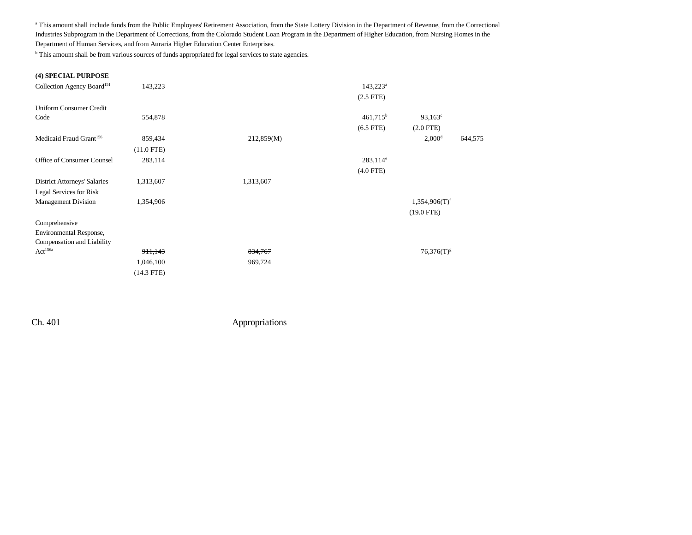a This amount shall include funds from the Public Employees' Retirement Association, from the State Lottery Division in the Department of Revenue, from the Correctional Industries Subprogram in the Department of Corrections, from the Colorado Student Loan Program in the Department of Higher Education, from Nursing Homes in the Department of Human Services, and from Auraria Higher Education Center Enterprises.

<sup>b</sup> This amount shall be from various sources of funds appropriated for legal services to state agencies.

#### **(4) SPECIAL PURPOSE**

| Collection Agency Board <sup>151</sup> | 143,223      |            | $143,223^a$    |                             |         |
|----------------------------------------|--------------|------------|----------------|-----------------------------|---------|
|                                        |              |            | $(2.5$ FTE $)$ |                             |         |
| <b>Uniform Consumer Credit</b>         |              |            |                |                             |         |
| Code                                   | 554,878      |            | $461,715^b$    | $93,163^c$                  |         |
|                                        |              |            | $(6.5$ FTE)    | $(2.0$ FTE $)$              |         |
| Medicaid Fraud Grant <sup>156</sup>    | 859,434      | 212,859(M) |                | 2,000 <sup>d</sup>          | 644,575 |
|                                        | $(11.0$ FTE) |            |                |                             |         |
| Office of Consumer Counsel             | 283,114      |            | $283,114^e$    |                             |         |
|                                        |              |            | $(4.0$ FTE)    |                             |         |
| <b>District Attorneys' Salaries</b>    | 1,313,607    | 1,313,607  |                |                             |         |
| Legal Services for Risk                |              |            |                |                             |         |
| <b>Management Division</b>             | 1,354,906    |            |                | $1,354,906(T)$ <sup>f</sup> |         |
|                                        |              |            |                | $(19.0$ FTE)                |         |
| Comprehensive                          |              |            |                |                             |         |
| Environmental Response,                |              |            |                |                             |         |
| Compensation and Liability             |              |            |                |                             |         |
| $\mathbf{Act}^{156a}$                  | 911,143      | 834,767    |                | $76,376(T)^{g}$             |         |
|                                        | 1,046,100    | 969,724    |                |                             |         |
|                                        | $(14.3$ FTE) |            |                |                             |         |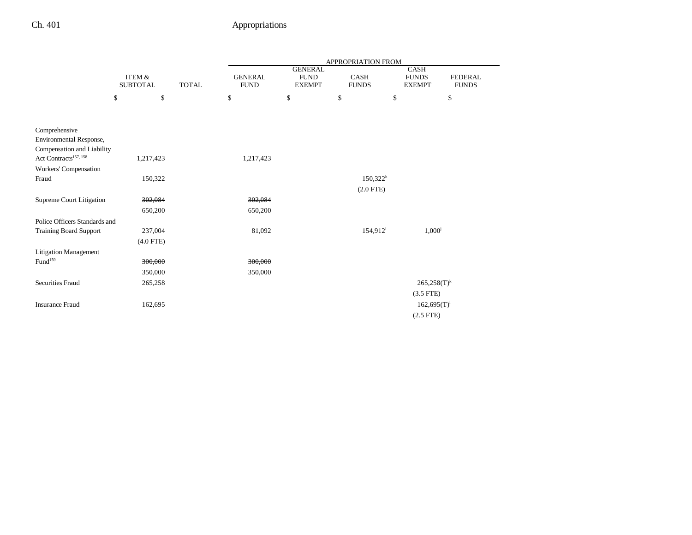|                                   |                                                      |  | APPROPRIATION FROM            |                                                |                             |    |                                              |                                |
|-----------------------------------|------------------------------------------------------|--|-------------------------------|------------------------------------------------|-----------------------------|----|----------------------------------------------|--------------------------------|
|                                   | <b>ITEM &amp;</b><br><b>SUBTOTAL</b><br><b>TOTAL</b> |  | <b>GENERAL</b><br><b>FUND</b> | <b>GENERAL</b><br><b>FUND</b><br><b>EXEMPT</b> | <b>CASH</b><br><b>FUNDS</b> |    | <b>CASH</b><br><b>FUNDS</b><br><b>EXEMPT</b> | <b>FEDERAL</b><br><b>FUNDS</b> |
|                                   | \$<br>\$                                             |  | \$                            | \$                                             | \$                          | \$ |                                              | \$                             |
|                                   |                                                      |  |                               |                                                |                             |    |                                              |                                |
| Comprehensive                     |                                                      |  |                               |                                                |                             |    |                                              |                                |
| Environmental Response,           |                                                      |  |                               |                                                |                             |    |                                              |                                |
| Compensation and Liability        |                                                      |  |                               |                                                |                             |    |                                              |                                |
| Act Contracts <sup>157, 158</sup> | 1,217,423                                            |  | 1,217,423                     |                                                |                             |    |                                              |                                |
| Workers' Compensation             |                                                      |  |                               |                                                |                             |    |                                              |                                |
| Fraud                             | 150,322                                              |  |                               |                                                | $150,322^h$                 |    |                                              |                                |
|                                   |                                                      |  |                               |                                                | $(2.0$ FTE)                 |    |                                              |                                |
| Supreme Court Litigation          | 302,084                                              |  | 302,084                       |                                                |                             |    |                                              |                                |
|                                   | 650,200                                              |  | 650,200                       |                                                |                             |    |                                              |                                |
| Police Officers Standards and     |                                                      |  |                               |                                                |                             |    |                                              |                                |
| <b>Training Board Support</b>     | 237,004                                              |  | 81,092                        |                                                | 154,912 <sup>i</sup>        |    | $1,000^{\rm j}$                              |                                |
|                                   | $(4.0$ FTE)                                          |  |                               |                                                |                             |    |                                              |                                |
| <b>Litigation Management</b>      |                                                      |  |                               |                                                |                             |    |                                              |                                |
| $\mathrm{Fund}^{159}$             | 300,000                                              |  | 300,000                       |                                                |                             |    |                                              |                                |
|                                   | 350,000                                              |  | 350,000                       |                                                |                             |    |                                              |                                |
| <b>Securities Fraud</b>           | 265,258                                              |  |                               |                                                |                             |    | $265,258(T)^k$                               |                                |
|                                   |                                                      |  |                               |                                                |                             |    | $(3.5$ FTE)                                  |                                |
| <b>Insurance Fraud</b>            | 162,695                                              |  |                               |                                                |                             |    | $162,695(T)^1$                               |                                |
|                                   |                                                      |  |                               |                                                |                             |    | $(2.5$ FTE)                                  |                                |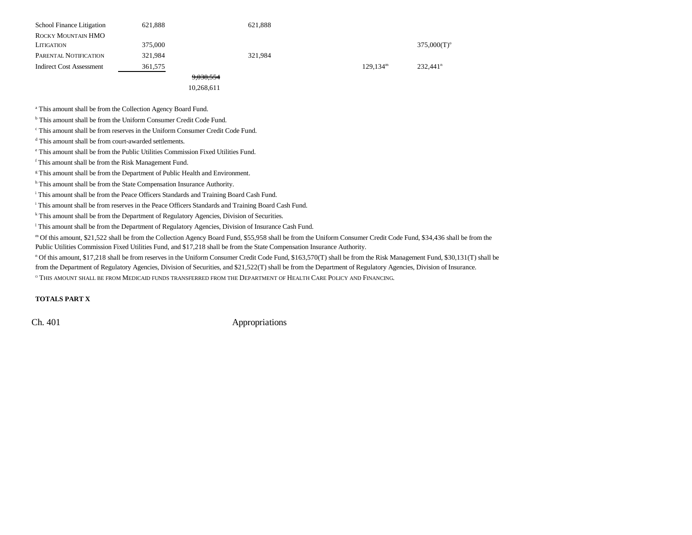| School Finance Litigation       | 621.888 | 621.888    |                      |                           |
|---------------------------------|---------|------------|----------------------|---------------------------|
| ROCKY MOUNTAIN HMO              |         |            |                      |                           |
| LITIGATION                      | 375,000 |            |                      | $375,000(T)$ <sup>o</sup> |
| PARENTAL NOTIFICATION           | 321,984 | 321,984    |                      |                           |
| <b>Indirect Cost Assessment</b> | 361,575 |            | 129.134 <sup>m</sup> | 232.441 <sup>n</sup>      |
|                                 |         | 9,038,554  |                      |                           |
|                                 |         | 10,268,611 |                      |                           |

<sup>a</sup> This amount shall be from the Collection Agency Board Fund.

b This amount shall be from the Uniform Consumer Credit Code Fund.

c This amount shall be from reserves in the Uniform Consumer Credit Code Fund.

d This amount shall be from court-awarded settlements.

e This amount shall be from the Public Utilities Commission Fixed Utilities Fund.

f This amount shall be from the Risk Management Fund.

<sup>g</sup> This amount shall be from the Department of Public Health and Environment.

h This amount shall be from the State Compensation Insurance Authority.

i This amount shall be from the Peace Officers Standards and Training Board Cash Fund.

i This amount shall be from reserves in the Peace Officers Standards and Training Board Cash Fund.

k This amount shall be from the Department of Regulatory Agencies, Division of Securities.

<sup>1</sup> This amount shall be from the Department of Regulatory Agencies, Division of Insurance Cash Fund.

m Of this amount, \$21,522 shall be from the Collection Agency Board Fund, \$55,958 shall be from the Uniform Consumer Credit Code Fund, \$34,436 shall be from the

Public Utilities Commission Fixed Utilities Fund, and \$17,218 shall be from the State Compensation Insurance Authority.

n Of this amount, \$17,218 shall be from reserves in the Uniform Consumer Credit Code Fund, \$163,570(T) shall be from the Risk Management Fund, \$30,131(T) shall be from the Department of Regulatory Agencies, Division of Securities, and \$21,522(T) shall be from the Department of Regulatory Agencies, Division of Insurance.

 $^\circ$  This amount shall be from Medicaid funds transferred from the Department of Health Care Policy and Financing.

#### **TOTALS PART X**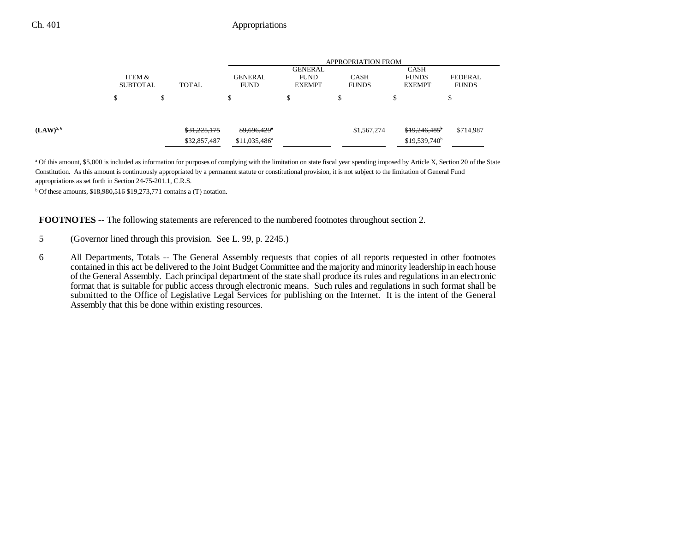|               |                                           |              | <b>APPROPRIATION FROM</b>     |                                                |                             |                                              |                                |  |
|---------------|-------------------------------------------|--------------|-------------------------------|------------------------------------------------|-----------------------------|----------------------------------------------|--------------------------------|--|
|               | ITEM &<br><b>SUBTOTAL</b><br><b>TOTAL</b> |              | <b>GENERAL</b><br><b>FUND</b> | <b>GENERAL</b><br><b>FUND</b><br><b>EXEMPT</b> | <b>CASH</b><br><b>FUNDS</b> | <b>CASH</b><br><b>FUNDS</b><br><b>EXEMPT</b> | <b>FEDERAL</b><br><b>FUNDS</b> |  |
|               | \$                                        | \$           | ъ                             | \$                                             | Φ                           | \$                                           | ъ                              |  |
|               |                                           |              |                               |                                                |                             |                                              |                                |  |
| $(LAW)^{5,6}$ |                                           | \$31,225,175 | $$9,696,429$ <sup>*</sup>     |                                                | \$1,567,274                 | \$19,246,485 <sup>b</sup>                    | \$714,987                      |  |
|               |                                           | \$32,857,487 | $$11,035,486^a$               |                                                |                             | $$19,539,740^b$                              |                                |  |

<sup>a</sup> Of this amount, \$5,000 is included as information for purposes of complying with the limitation on state fiscal year spending imposed by Article X, Section 20 of the State Constitution. As this amount is continuously appropriated by a permanent statute or constitutional provision, it is not subject to the limitation of General Fund appropriations as set forth in Section 24-75-201.1, C.R.S.

 $b$  Of these amounts,  $$18,980,516$  \$19,273,771 contains a (T) notation.

**FOOTNOTES** -- The following statements are referenced to the numbered footnotes throughout section 2.

- 5 (Governor lined through this provision. See L. 99, p. 2245.)
- 6 All Departments, Totals -- The General Assembly requests that copies of all reports requested in other footnotes contained in this act be delivered to the Joint Budget Committee and the majority and minority leadership in each house of the General Assembly. Each principal department of the state shall produce its rules and regulations in an electronic format that is suitable for public access through electronic means. Such rules and regulations in such format shall be submitted to the Office of Legislative Legal Services for publishing on the Internet. It is the intent of the General Assembly that this be done within existing resources.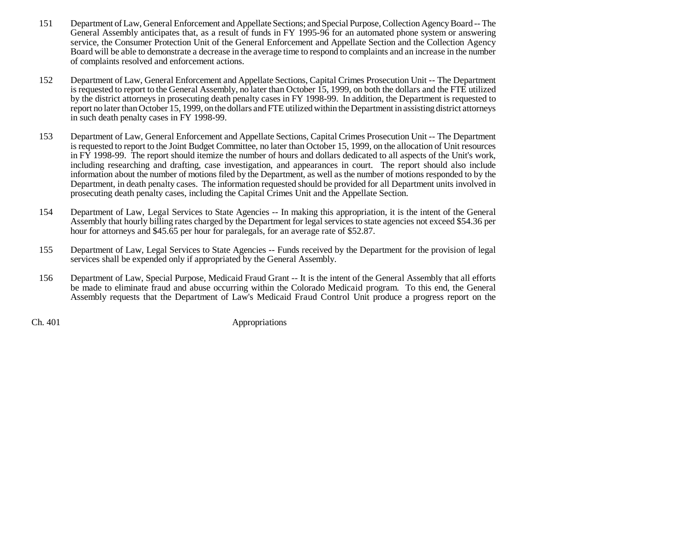- 151 Department of Law, General Enforcement and Appellate Sections; and Special Purpose, Collection Agency Board -- The General Assembly anticipates that, as a result of funds in FY 1995-96 for an automated phone system or answering service, the Consumer Protection Unit of the General Enforcement and Appellate Section and the Collection Agency Board will be able to demonstrate a decrease in the average time to respond to complaints and an increase in the number of complaints resolved and enforcement actions.
- 152 Department of Law, General Enforcement and Appellate Sections, Capital Crimes Prosecution Unit -- The Department is requested to report to the General Assembly, no later than October 15, 1999, on both the dollars and the FTE utilized by the district attorneys in prosecuting death penalty cases in FY 1998-99. In addition, the Department is requested to report no later than October 15, 1999, on the dollars and FTE utilized within the Department in assisting district attorneys in such death penalty cases in FY 1998-99.
- 153 Department of Law, General Enforcement and Appellate Sections, Capital Crimes Prosecution Unit -- The Department is requested to report to the Joint Budget Committee, no later than October 15, 1999, on the allocation of Unit resources in FY 1998-99. The report should itemize the number of hours and dollars dedicated to all aspects of the Unit's work, including researching and drafting, case investigation, and appearances in court. The report should also include information about the number of motions filed by the Department, as well as the number of motions responded to by the Department, in death penalty cases. The information requested should be provided for all Department units involved in prosecuting death penalty cases, including the Capital Crimes Unit and the Appellate Section.
- 154 Department of Law, Legal Services to State Agencies -- In making this appropriation, it is the intent of the General Assembly that hourly billing rates charged by the Department for legal services to state agencies not exceed \$54.36 per hour for attorneys and \$45.65 per hour for paralegals, for an average rate of \$52.87.
- 155 Department of Law, Legal Services to State Agencies -- Funds received by the Department for the provision of legal services shall be expended only if appropriated by the General Assembly.
- 156 Department of Law, Special Purpose, Medicaid Fraud Grant -- It is the intent of the General Assembly that all efforts be made to eliminate fraud and abuse occurring within the Colorado Medicaid program. To this end, the General Assembly requests that the Department of Law's Medicaid Fraud Control Unit produce a progress report on the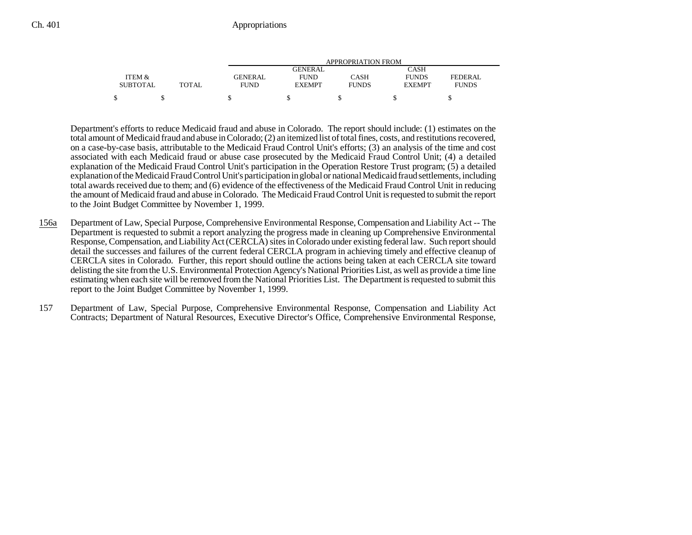|                 |       | APPROPRIATION FROM |               |              |               |              |  |  |
|-----------------|-------|--------------------|---------------|--------------|---------------|--------------|--|--|
|                 |       |                    | GENERAL       |              | CASH          |              |  |  |
| ITEM &          |       | <b>GENERAL</b>     | <b>FUND</b>   | CASH         | <b>FUNDS</b>  | FEDERAL      |  |  |
| <b>SUBTOTAL</b> | TOTAL | <b>FUND</b>        | <b>EXEMPT</b> | <b>FUNDS</b> | <b>EXEMPT</b> | <b>FUNDS</b> |  |  |
|                 |       |                    |               |              |               |              |  |  |
|                 |       |                    |               |              |               |              |  |  |

Department's efforts to reduce Medicaid fraud and abuse in Colorado. The report should include: (1) estimates on the total amount of Medicaid fraud and abuse in Colorado; (2) an itemized list of total fines, costs, and restitutions recovered, on a case-by-case basis, attributable to the Medicaid Fraud Control Unit's efforts; (3) an analysis of the time and cost associated with each Medicaid fraud or abuse case prosecuted by the Medicaid Fraud Control Unit; (4) a detailed explanation of the Medicaid Fraud Control Unit's participation in the Operation Restore Trust program; (5) a detailed explanation of the Medicaid Fraud Control Unit's participation in global or national Medicaid fraud settlements, including total awards received due to them; and (6) evidence of the effectiveness of the Medicaid Fraud Control Unit in reducing the amount of Medicaid fraud and abuse in Colorado. The Medicaid Fraud Control Unit is requested to submit the report to the Joint Budget Committee by November 1, 1999.

- 156a Department of Law, Special Purpose, Comprehensive Environmental Response, Compensation and Liability Act -- The Department is requested to submit a report analyzing the progress made in cleaning up Comprehensive Environmental Response, Compensation, and Liability Act (CERCLA) sites in Colorado under existing federal law. Such report should detail the successes and failures of the current federal CERCLA program in achieving timely and effective cleanup of CERCLA sites in Colorado. Further, this report should outline the actions being taken at each CERCLA site toward delisting the site from the U.S. Environmental Protection Agency's National Priorities List, as well as provide a time line estimating when each site will be removed from the National Priorities List. The Department is requested to submit this report to the Joint Budget Committee by November 1, 1999.
- 157 Department of Law, Special Purpose, Comprehensive Environmental Response, Compensation and Liability Act Contracts; Department of Natural Resources, Executive Director's Office, Comprehensive Environmental Response,